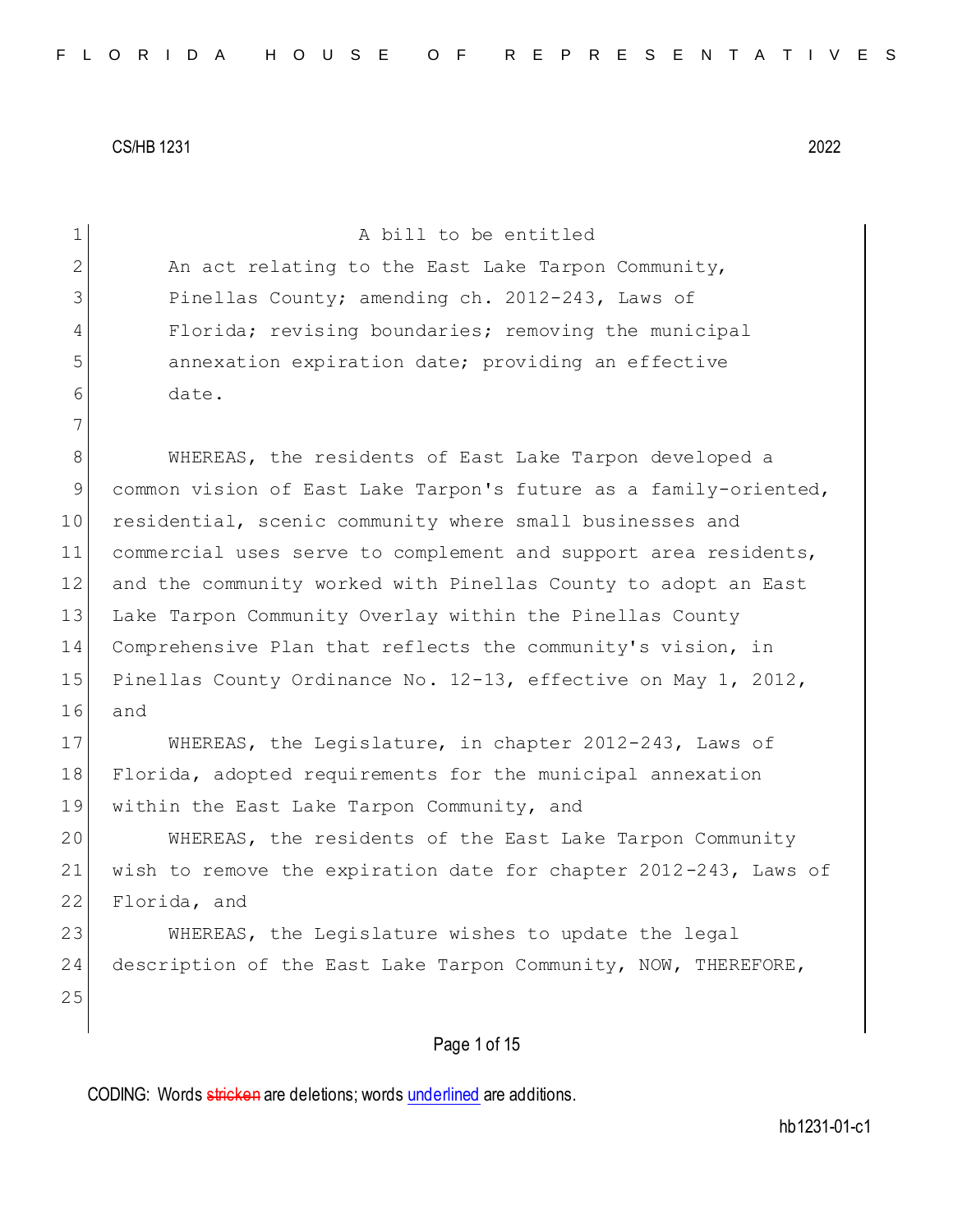| $\mathbf 1$    | A bill to be entitled                                            |
|----------------|------------------------------------------------------------------|
| $\mathbf{2}$   | An act relating to the East Lake Tarpon Community,               |
| 3              | Pinellas County; amending ch. 2012-243, Laws of                  |
| 4              | Florida; revising boundaries; removing the municipal             |
| 5              | annexation expiration date; providing an effective               |
| 6              | date.                                                            |
| $7\phantom{.}$ |                                                                  |
| 8              | WHEREAS, the residents of East Lake Tarpon developed a           |
| 9              | common vision of East Lake Tarpon's future as a family-oriented, |
| 10             | residential, scenic community where small businesses and         |
| 11             | commercial uses serve to complement and support area residents,  |
| 12             | and the community worked with Pinellas County to adopt an East   |
| 13             | Lake Tarpon Community Overlay within the Pinellas County         |
| 14             | Comprehensive Plan that reflects the community's vision, in      |
| 15             | Pinellas County Ordinance No. 12-13, effective on May 1, 2012,   |
| 16             | and                                                              |
| 17             | WHEREAS, the Legislature, in chapter 2012-243, Laws of           |
| 18             | Florida, adopted requirements for the municipal annexation       |
| 19             | within the East Lake Tarpon Community, and                       |
| 20             | WHEREAS, the residents of the East Lake Tarpon Community         |
| 21             | wish to remove the expiration date for chapter 2012-243, Laws of |
| 22             | Florida, and                                                     |
| 23             | WHEREAS, the Legislature wishes to update the legal              |
| 24             | description of the East Lake Tarpon Community, NOW, THEREFORE,   |
| 25             |                                                                  |
|                | Page 1 of 15                                                     |
|                |                                                                  |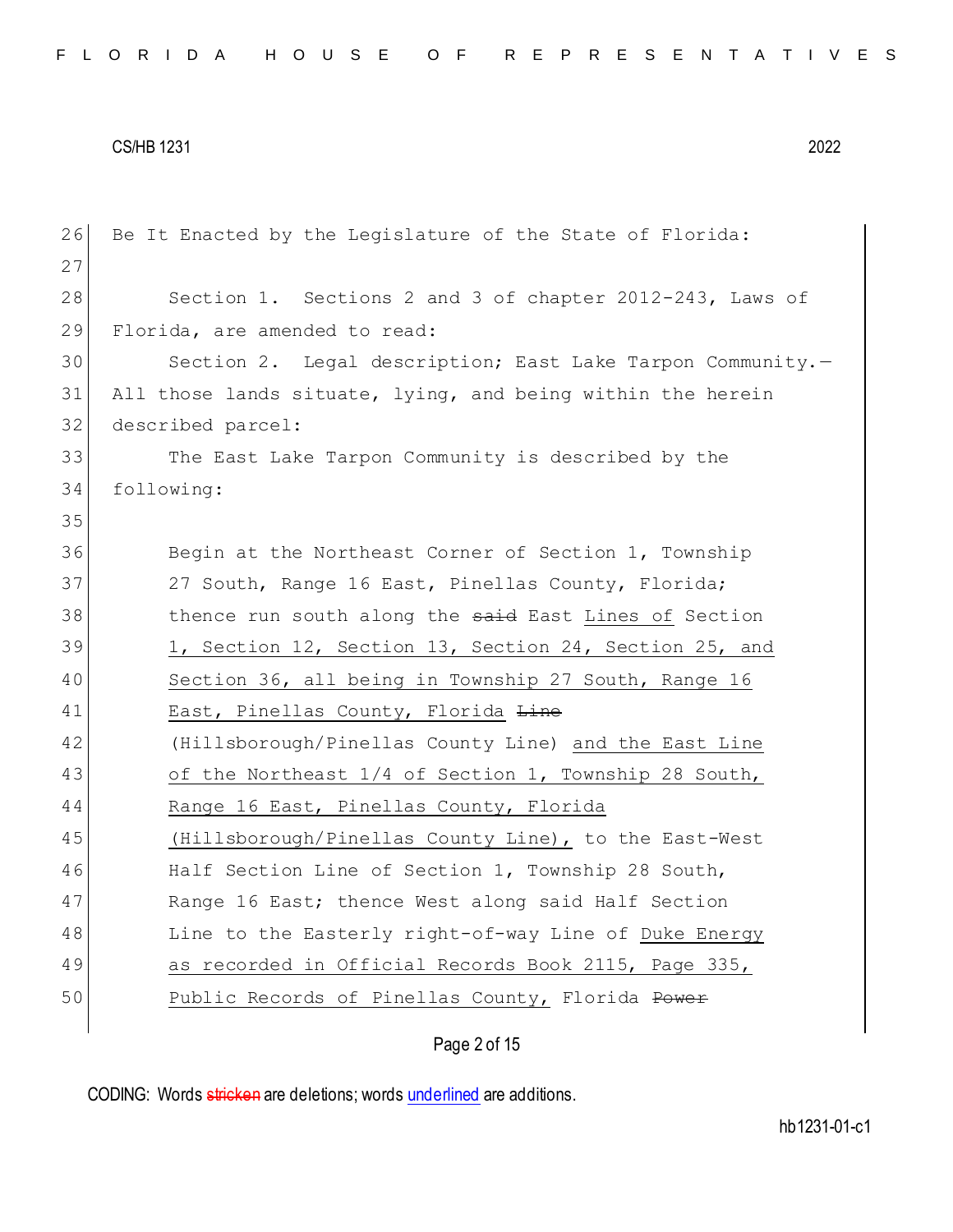| 26 | Be It Enacted by the Legislature of the State of Florida:   |
|----|-------------------------------------------------------------|
| 27 |                                                             |
| 28 | Section 1. Sections 2 and 3 of chapter 2012-243, Laws of    |
| 29 | Florida, are amended to read:                               |
| 30 | Section 2. Legal description; East Lake Tarpon Community.-  |
| 31 | All those lands situate, lying, and being within the herein |
| 32 | described parcel:                                           |
| 33 | The East Lake Tarpon Community is described by the          |
| 34 | following:                                                  |
| 35 |                                                             |
| 36 | Begin at the Northeast Corner of Section 1, Township        |
| 37 | 27 South, Range 16 East, Pinellas County, Florida;          |
| 38 | thence run south along the said East Lines of Section       |
| 39 | 1, Section 12, Section 13, Section 24, Section 25, and      |
| 40 | Section 36, all being in Township 27 South, Range 16        |
| 41 | East, Pinellas County, Florida Line                         |
| 42 | (Hillsborough/Pinellas County Line) and the East Line       |
| 43 | of the Northeast 1/4 of Section 1, Township 28 South,       |
| 44 | Range 16 East, Pinellas County, Florida                     |
| 45 | (Hillsborough/Pinellas County Line), to the East-West       |
| 46 | Half Section Line of Section 1, Township 28 South,          |
| 47 | Range 16 East; thence West along said Half Section          |
| 48 | Line to the Easterly right-of-way Line of Duke Energy       |
| 49 | as recorded in Official Records Book 2115, Page 335,        |
| 50 | Public Records of Pinellas County, Florida Power            |
|    |                                                             |

# Page 2 of 15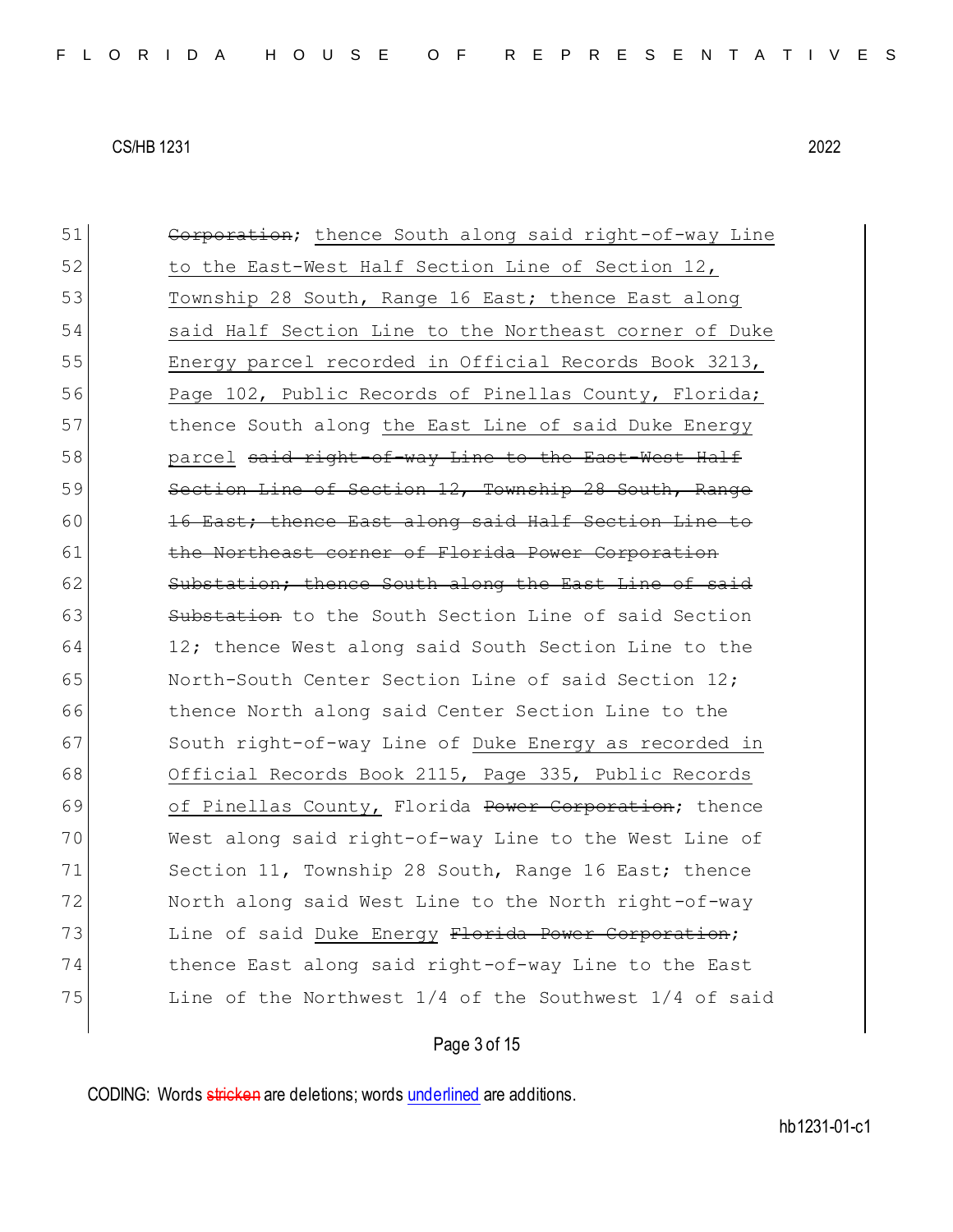51 Corporation; thence South along said right-of-way Line 52 to the East-West Half Section Line of Section 12, 53 Township 28 South, Range 16 East; thence East along 54 Said Half Section Line to the Northeast corner of Duke 55 Energy parcel recorded in Official Records Book 3213, 56 Page 102, Public Records of Pinellas County, Florida; 57 thence South along the East Line of said Duke Energy 58 parcel said right-of-way Line to the East-West Half 59 Section Line of Section 12, Township 28 South, Range 60 16 East; thence East along said Half Section Line to 61 the Northeast corner of Florida Power Corporation 62 Substation; thence South along the East Line of said 63 Substation to the South Section Line of said Section 64 12; thence West along said South Section Line to the 65 North-South Center Section Line of said Section 12; 66 thence North along said Center Section Line to the 67 South right-of-way Line of Duke Energy as recorded in 68 Official Records Book 2115, Page 335, Public Records 69 of Pinellas County, Florida Power Corporation; thence 70 West along said right-of-way Line to the West Line of 71 Section 11, Township 28 South, Range 16 East; thence 72 North along said West Line to the North right-of-way 73 Line of said Duke Energy Florida Power Corporation; 74 thence East along said right-of-way Line to the East 75 Line of the Northwest  $1/4$  of the Southwest  $1/4$  of said

## Page 3 of 15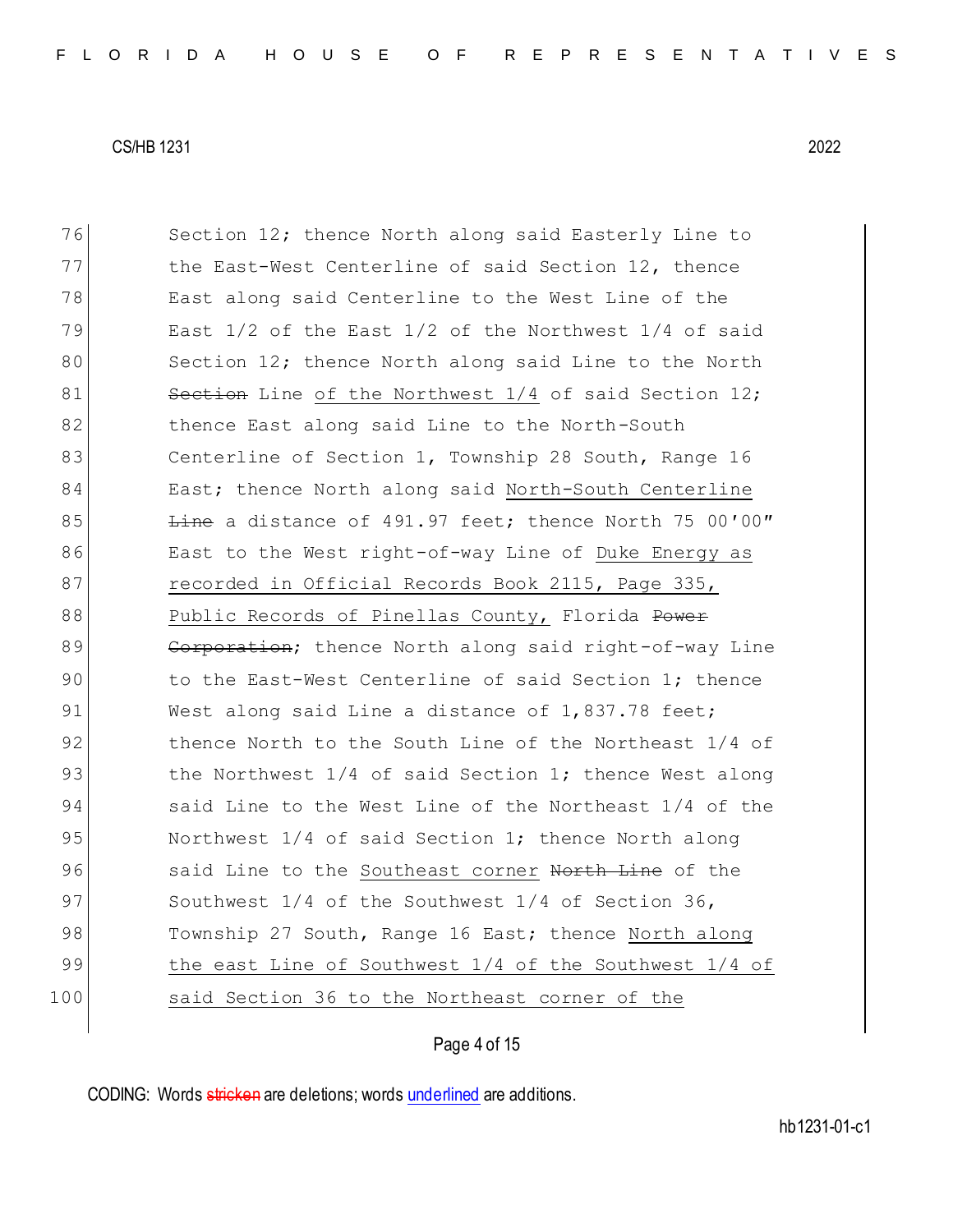76 Section 12; thence North along said Easterly Line to 77 the East-West Centerline of said Section 12, thence 78 East along said Centerline to the West Line of the 79 East  $1/2$  of the East  $1/2$  of the Northwest  $1/4$  of said 80 Section 12; thence North along said Line to the North 81 Section Line of the Northwest 1/4 of said Section 12; 82 thence East along said Line to the North-South 83 Centerline of Section 1, Township 28 South, Range 16 84 East; thence North along said North-South Centerline 85  $\frac{L}{2}$  Line a distance of 491.97 feet; thence North 75 00'00" 86 East to the West right-of-way Line of Duke Energy as 87 recorded in Official Records Book 2115, Page 335, 88 Public Records of Pinellas County, Florida Power 89 Corporation; thence North along said right-of-way Line 90 to the East-West Centerline of said Section 1; thence 91 West along said Line a distance of 1,837.78 feet; 92 thence North to the South Line of the Northeast 1/4 of 93 blue Northwest 1/4 of said Section 1; thence West along 94 said Line to the West Line of the Northeast 1/4 of the 95 Northwest 1/4 of said Section 1; thence North along 96 said Line to the Southeast corner North Line of the 97 Southwest 1/4 of the Southwest 1/4 of Section 36, 98 Township 27 South, Range 16 East; thence North along 99 the east Line of Southwest 1/4 of the Southwest 1/4 of 100 said Section 36 to the Northeast corner of the

## Page 4 of 15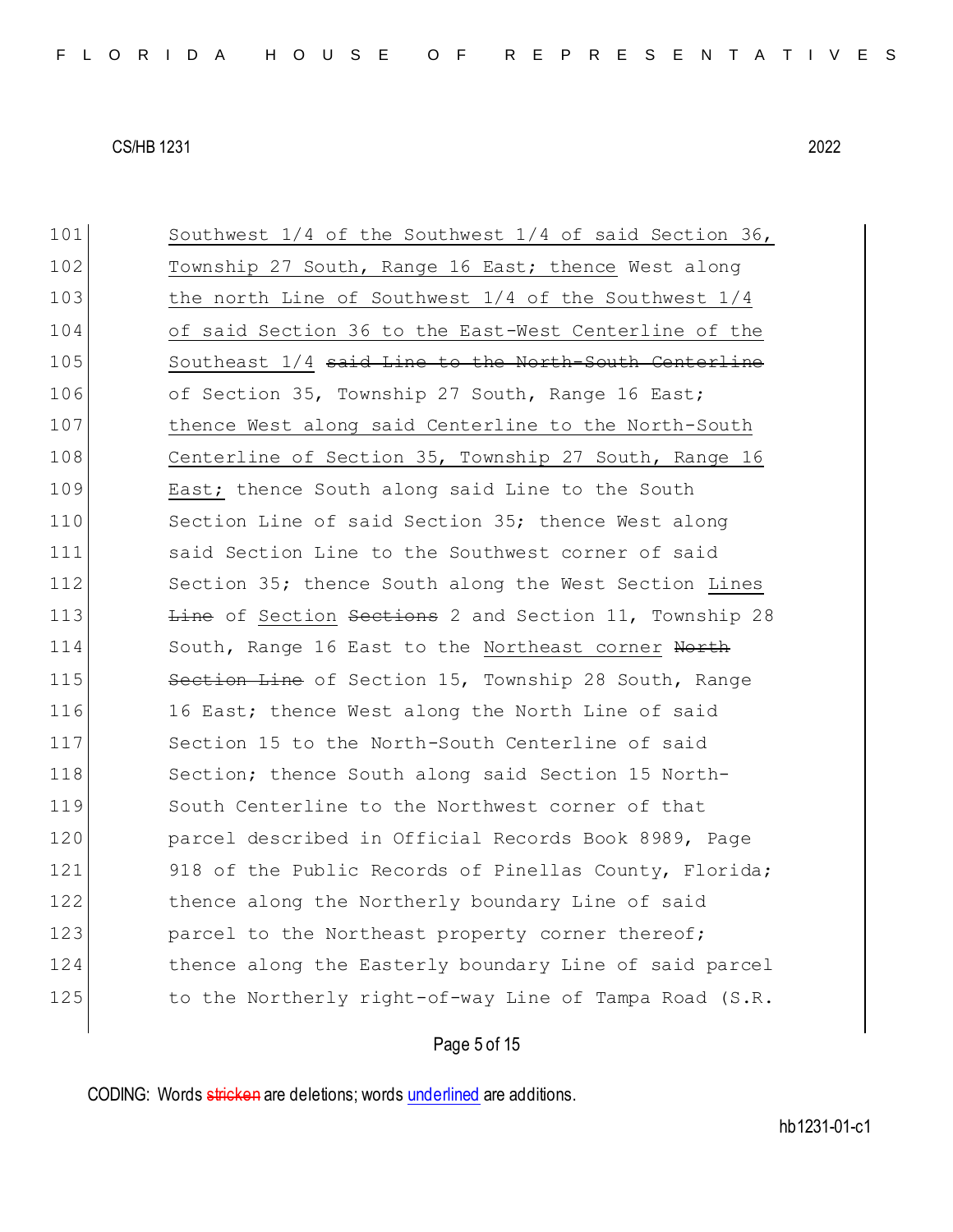| 101 | Southwest $1/4$ of the Southwest $1/4$ of said Section 36, |
|-----|------------------------------------------------------------|
| 102 | Township 27 South, Range 16 East; thence West along        |
| 103 | the north Line of Southwest $1/4$ of the Southwest $1/4$   |
| 104 | of said Section 36 to the East-West Centerline of the      |
| 105 | Southeast 1/4 said Line to the North-South Centerline      |
| 106 | of Section 35, Township 27 South, Range 16 East;           |
| 107 | thence West along said Centerline to the North-South       |
| 108 | Centerline of Section 35, Township 27 South, Range 16      |
| 109 | East; thence South along said Line to the South            |
| 110 | Section Line of said Section 35; thence West along         |
| 111 | said Section Line to the Southwest corner of said          |
| 112 | Section 35; thence South along the West Section Lines      |
| 113 | Line of Section Sections 2 and Section 11, Township 28     |
| 114 | South, Range 16 East to the Northeast corner North         |
| 115 | Section Line of Section 15, Township 28 South, Range       |
| 116 | 16 East; thence West along the North Line of said          |
| 117 | Section 15 to the North-South Centerline of said           |
| 118 | Section; thence South along said Section 15 North-         |
| 119 | South Centerline to the Northwest corner of that           |
| 120 | parcel described in Official Records Book 8989, Page       |
| 121 | 918 of the Public Records of Pinellas County, Florida;     |
| 122 | thence along the Northerly boundary Line of said           |
| 123 | parcel to the Northeast property corner thereof;           |
| 124 | thence along the Easterly boundary Line of said parcel     |
| 125 | to the Northerly right-of-way Line of Tampa Road (S.R.     |
|     |                                                            |

# Page 5 of 15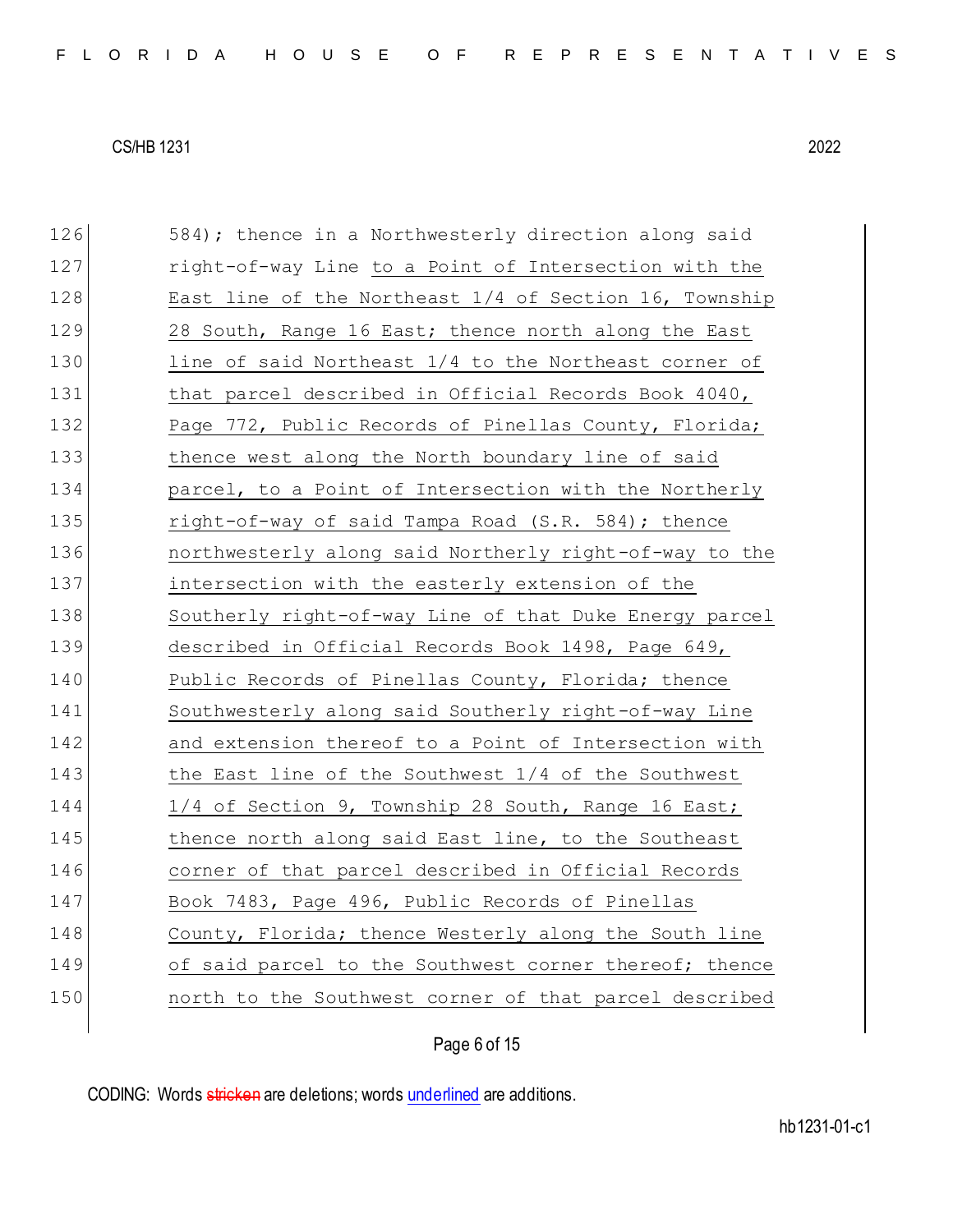| 126 | 584); thence in a Northwesterly direction along said   |
|-----|--------------------------------------------------------|
| 127 | right-of-way Line to a Point of Intersection with the  |
| 128 | East line of the Northeast 1/4 of Section 16, Township |
| 129 | 28 South, Range 16 East; thence north along the East   |
| 130 | line of said Northeast 1/4 to the Northeast corner of  |
| 131 | that parcel described in Official Records Book 4040,   |
| 132 | Page 772, Public Records of Pinellas County, Florida;  |
| 133 | thence west along the North boundary line of said      |
| 134 | parcel, to a Point of Intersection with the Northerly  |
| 135 | right-of-way of said Tampa Road (S.R. 584); thence     |
| 136 | northwesterly along said Northerly right-of-way to the |
| 137 | intersection with the easterly extension of the        |
| 138 | Southerly right-of-way Line of that Duke Energy parcel |
| 139 | described in Official Records Book 1498, Page 649,     |
| 140 | Public Records of Pinellas County, Florida; thence     |
| 141 | Southwesterly along said Southerly right-of-way Line   |
| 142 | and extension thereof to a Point of Intersection with  |
| 143 | the East line of the Southwest $1/4$ of the Southwest  |
| 144 | 1/4 of Section 9, Township 28 South, Range 16 East;    |
| 145 | thence north along said East line, to the Southeast    |
| 146 | corner of that parcel described in Official Records    |
| 147 | Book 7483, Page 496, Public Records of Pinellas        |
| 148 | County, Florida; thence Westerly along the South line  |
| 149 | of said parcel to the Southwest corner thereof; thence |
| 150 | north to the Southwest corner of that parcel described |
|     |                                                        |

Page 6 of 15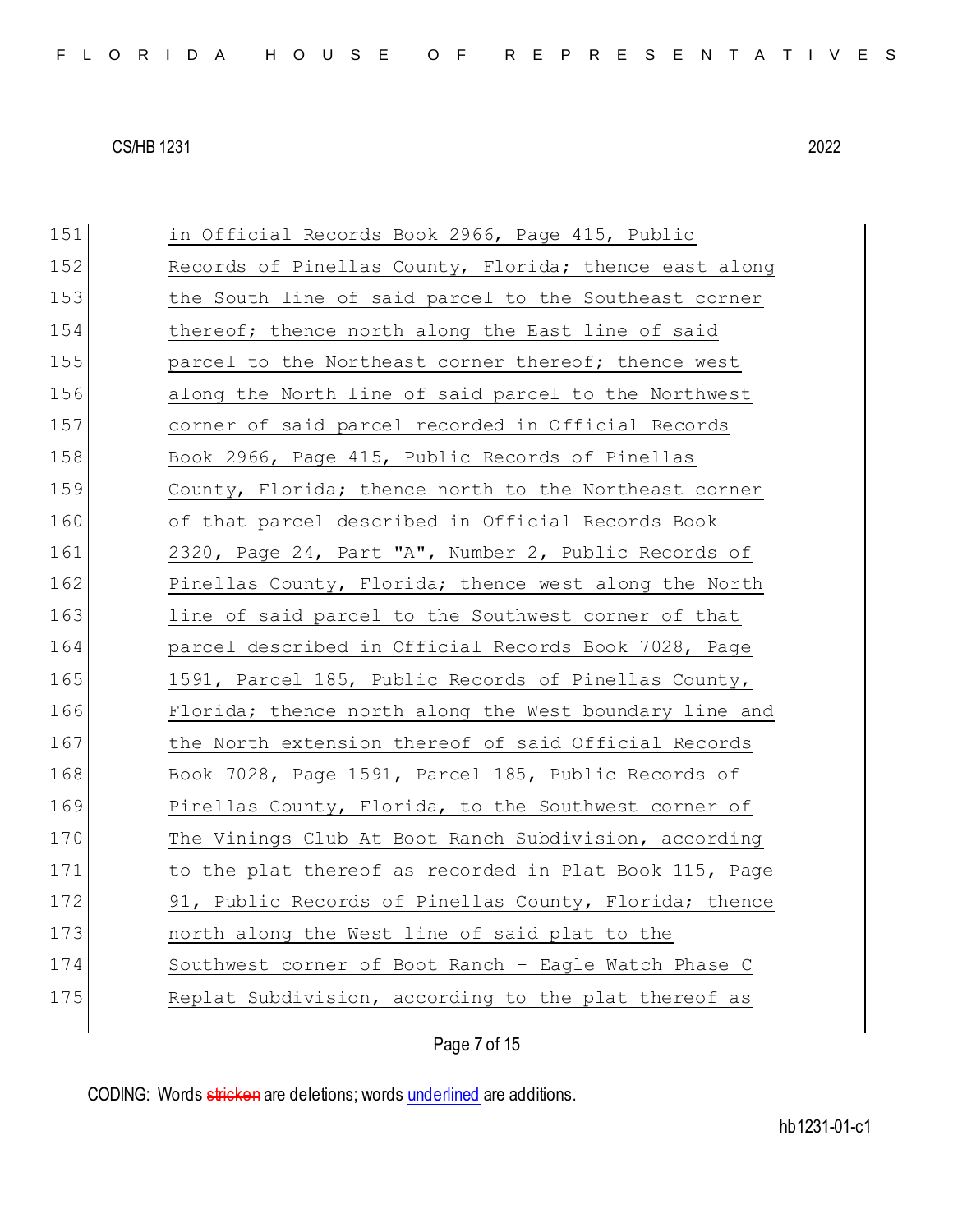151 in Official Records Book 2966, Page 415, Public 152 Records of Pinellas County, Florida; thence east along 153 the South line of said parcel to the Southeast corner 154 thereof; thence north along the East line of said 155 parcel to the Northeast corner thereof; thence west 156 along the North line of said parcel to the Northwest 157 corner of said parcel recorded in Official Records 158 Book 2966, Page 415, Public Records of Pinellas 159 County, Florida; thence north to the Northeast corner 160 of that parcel described in Official Records Book 161 2320, Page 24, Part "A", Number 2, Public Records of 162 Pinellas County, Florida; thence west along the North 163 line of said parcel to the Southwest corner of that 164 parcel described in Official Records Book 7028, Page 165 1591, Parcel 185, Public Records of Pinellas County, 166 Florida; thence north along the West boundary line and 167 the North extension thereof of said Official Records 168 Book 7028, Page 1591, Parcel 185, Public Records of 169 Pinellas County, Florida, to the Southwest corner of 170 The Vinings Club At Boot Ranch Subdivision, according 171 to the plat thereof as recorded in Plat Book 115, Page 172 91, Public Records of Pinellas County, Florida; thence 173 **north along the West line of said plat to the** 174 Southwest corner of Boot Ranch - Eagle Watch Phase C 175 Replat Subdivision, according to the plat thereof as

Page 7 of 15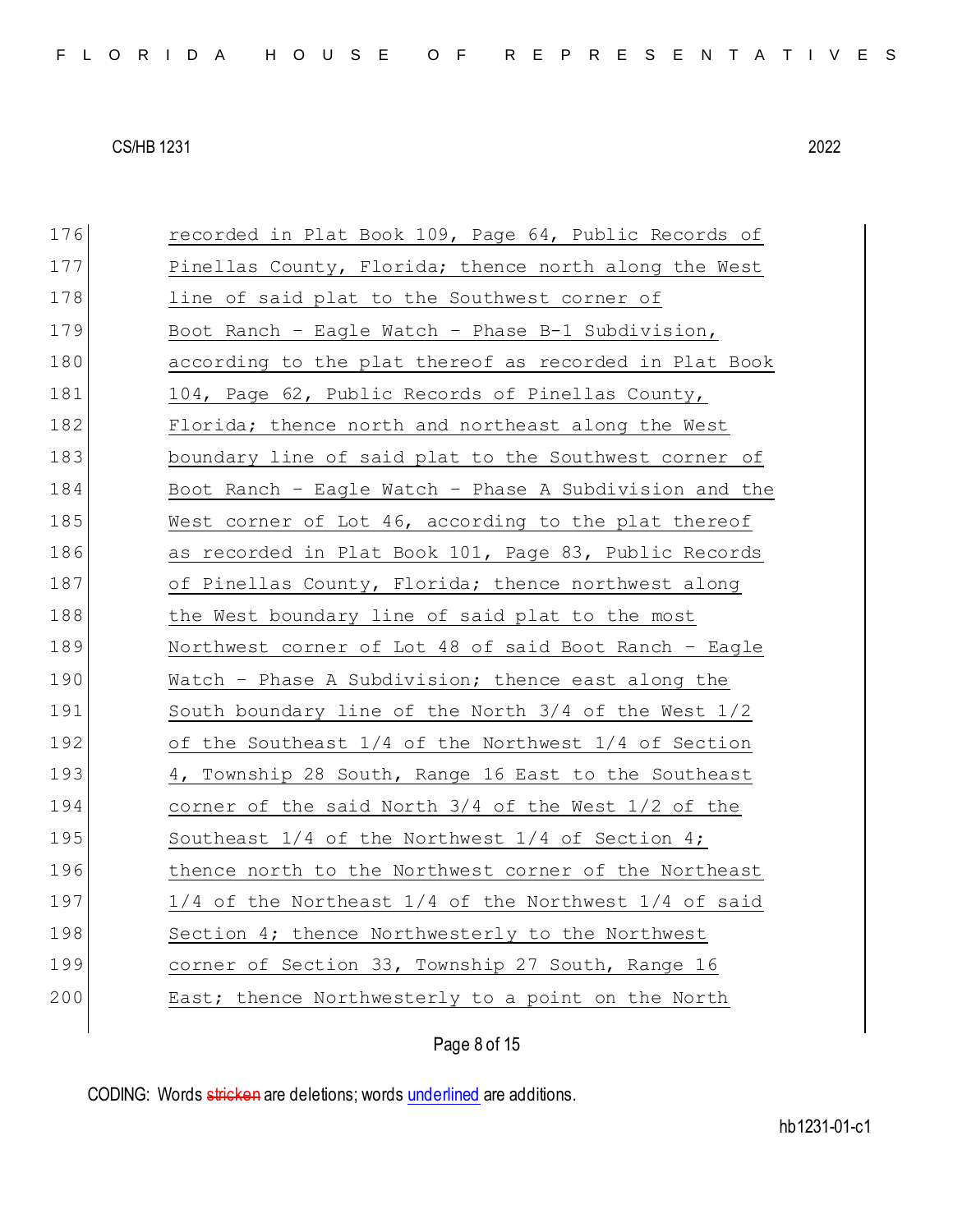| 176 | recorded in Plat Book 109, Page 64, Public Records of       |
|-----|-------------------------------------------------------------|
| 177 | Pinellas County, Florida; thence north along the West       |
| 178 | line of said plat to the Southwest corner of                |
| 179 | Boot Ranch - Eagle Watch - Phase B-1 Subdivision,           |
| 180 | according to the plat thereof as recorded in Plat Book      |
| 181 | 104, Page 62, Public Records of Pinellas County,            |
| 182 | Florida; thence north and northeast along the West          |
| 183 | boundary line of said plat to the Southwest corner of       |
| 184 | Boot Ranch - Eagle Watch - Phase A Subdivision and the      |
| 185 | West corner of Lot 46, according to the plat thereof        |
| 186 | as recorded in Plat Book 101, Page 83, Public Records       |
| 187 | of Pinellas County, Florida; thence northwest along         |
| 188 | the West boundary line of said plat to the most             |
| 189 | Northwest corner of Lot 48 of said Boot Ranch - Eagle       |
| 190 | Watch - Phase A Subdivision; thence east along the          |
| 191 | South boundary line of the North 3/4 of the West 1/2        |
| 192 | of the Southeast 1/4 of the Northwest 1/4 of Section        |
| 193 | 4, Township 28 South, Range 16 East to the Southeast        |
| 194 | corner of the said North $3/4$ of the West $1/2$ of the     |
| 195 | Southeast $1/4$ of the Northwest $1/4$ of Section 4;        |
| 196 | thence north to the Northwest corner of the Northeast       |
| 197 | $1/4$ of the Northeast $1/4$ of the Northwest $1/4$ of said |
| 198 | Section 4; thence Northwesterly to the Northwest            |
| 199 | corner of Section 33, Township 27 South, Range 16           |
| 200 | East; thence Northwesterly to a point on the North          |
|     |                                                             |

Page 8 of 15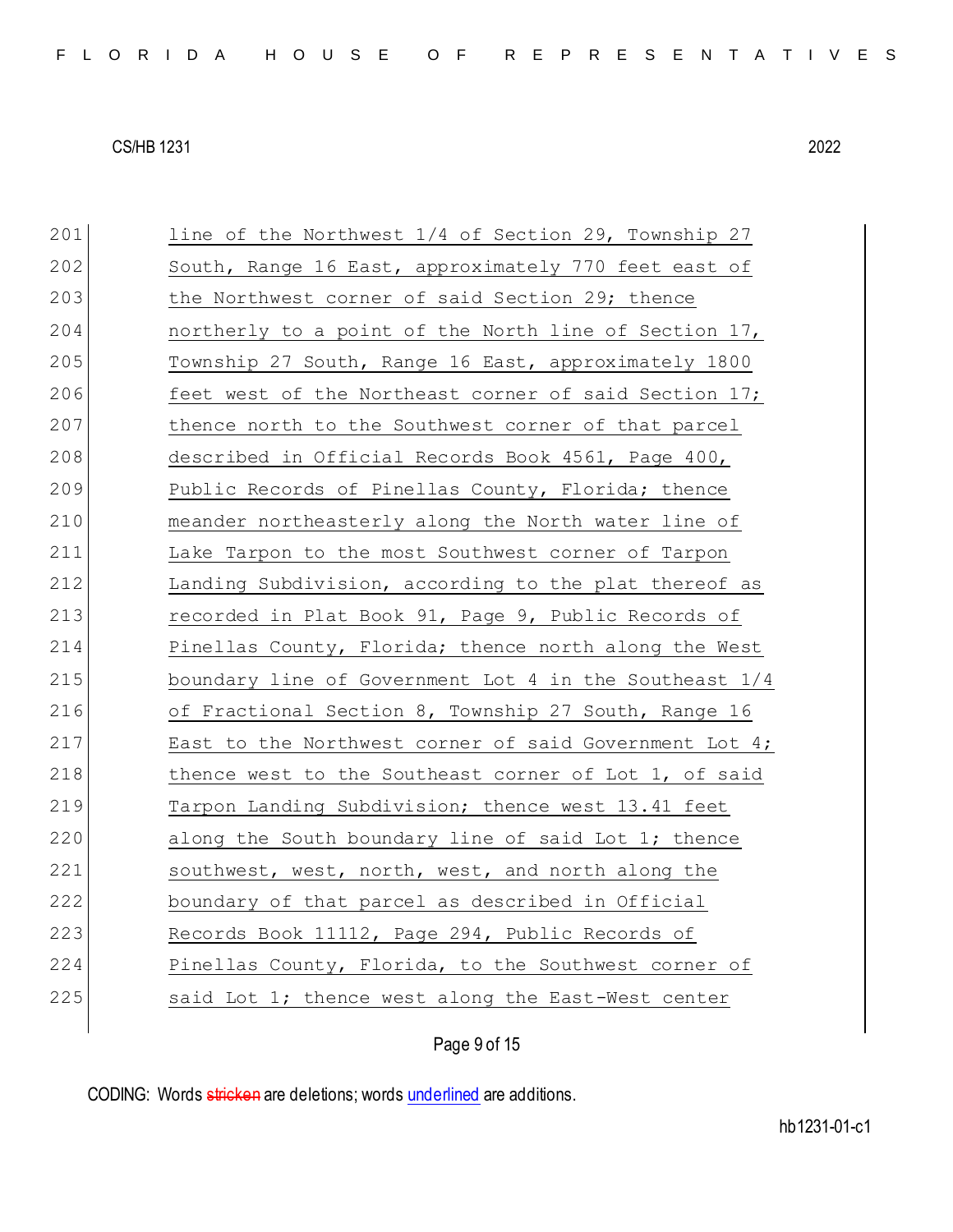| 201 | line of the Northwest 1/4 of Section 29, Township 27   |
|-----|--------------------------------------------------------|
| 202 | South, Range 16 East, approximately 770 feet east of   |
| 203 | the Northwest corner of said Section 29; thence        |
| 204 | northerly to a point of the North line of Section 17,  |
| 205 | Township 27 South, Range 16 East, approximately 1800   |
| 206 | feet west of the Northeast corner of said Section 17;  |
| 207 | thence north to the Southwest corner of that parcel    |
| 208 | described in Official Records Book 4561, Page 400,     |
| 209 | Public Records of Pinellas County, Florida; thence     |
| 210 | meander northeasterly along the North water line of    |
| 211 | Lake Tarpon to the most Southwest corner of Tarpon     |
| 212 | Landing Subdivision, according to the plat thereof as  |
| 213 | recorded in Plat Book 91, Page 9, Public Records of    |
| 214 | Pinellas County, Florida; thence north along the West  |
| 215 | boundary line of Government Lot 4 in the Southeast 1/4 |
| 216 | of Fractional Section 8, Township 27 South, Range 16   |
| 217 | East to the Northwest corner of said Government Lot 4; |
| 218 | thence west to the Southeast corner of Lot 1, of said  |
| 219 | Tarpon Landing Subdivision; thence west 13.41 feet     |
| 220 | along the South boundary line of said Lot 1; thence    |
| 221 | southwest, west, north, west, and north along the      |
|     | boundary of that parcel as described in Official       |
| 222 |                                                        |
| 223 | Records Book 11112, Page 294, Public Records of        |
| 224 | Pinellas County, Florida, to the Southwest corner of   |
| 225 | said Lot 1; thence west along the East-West center     |

# Page 9 of 15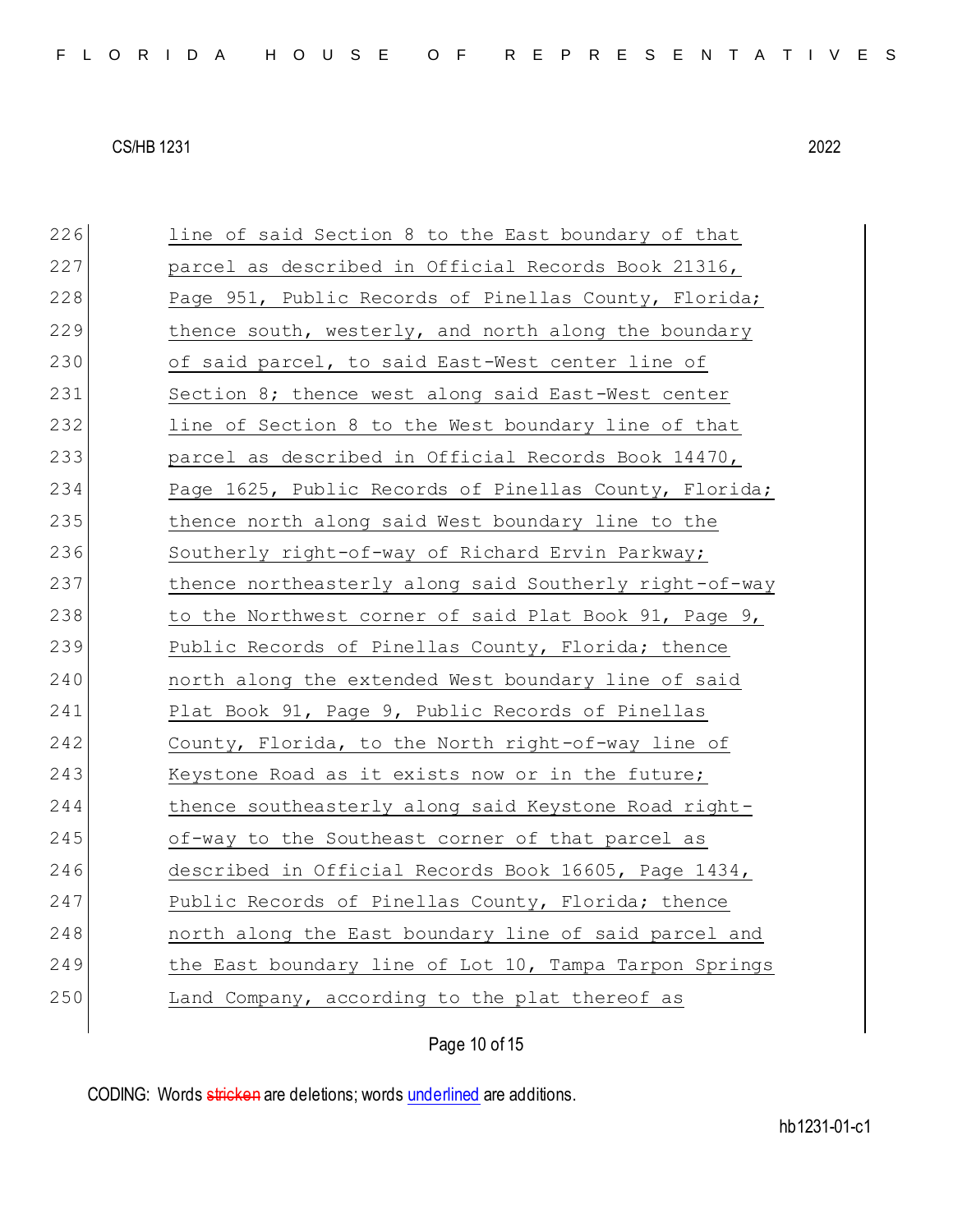226 line of said Section 8 to the East boundary of that 227 parcel as described in Official Records Book 21316, 228 Page 951, Public Records of Pinellas County, Florida; 229 thence south, westerly, and north along the boundary 230 of said parcel, to said East-West center line of 231 Section 8; thence west along said East-West center 232 line of Section 8 to the West boundary line of that 233 parcel as described in Official Records Book 14470, 234 Page 1625, Public Records of Pinellas County, Florida; 235 thence north along said West boundary line to the 236 Southerly right-of-way of Richard Ervin Parkway; 237 thence northeasterly along said Southerly right-of-way 238 to the Northwest corner of said Plat Book 91, Page 9, 239 Public Records of Pinellas County, Florida; thence 240 north along the extended West boundary line of said 241 Plat Book 91, Page 9, Public Records of Pinellas 242 County, Florida, to the North right-of-way line of 243 Keystone Road as it exists now or in the future; 244 thence southeasterly along said Keystone Road right-245 of-way to the Southeast corner of that parcel as 246 described in Official Records Book 16605, Page 1434, 247 Public Records of Pinellas County, Florida; thence 248 **north along the East boundary line of said parcel and** 249 the East boundary line of Lot 10, Tampa Tarpon Springs 250 Land Company, according to the plat thereof as

Page 10 of 15

CODING: Words stricken are deletions; words underlined are additions.

hb1231-01-c1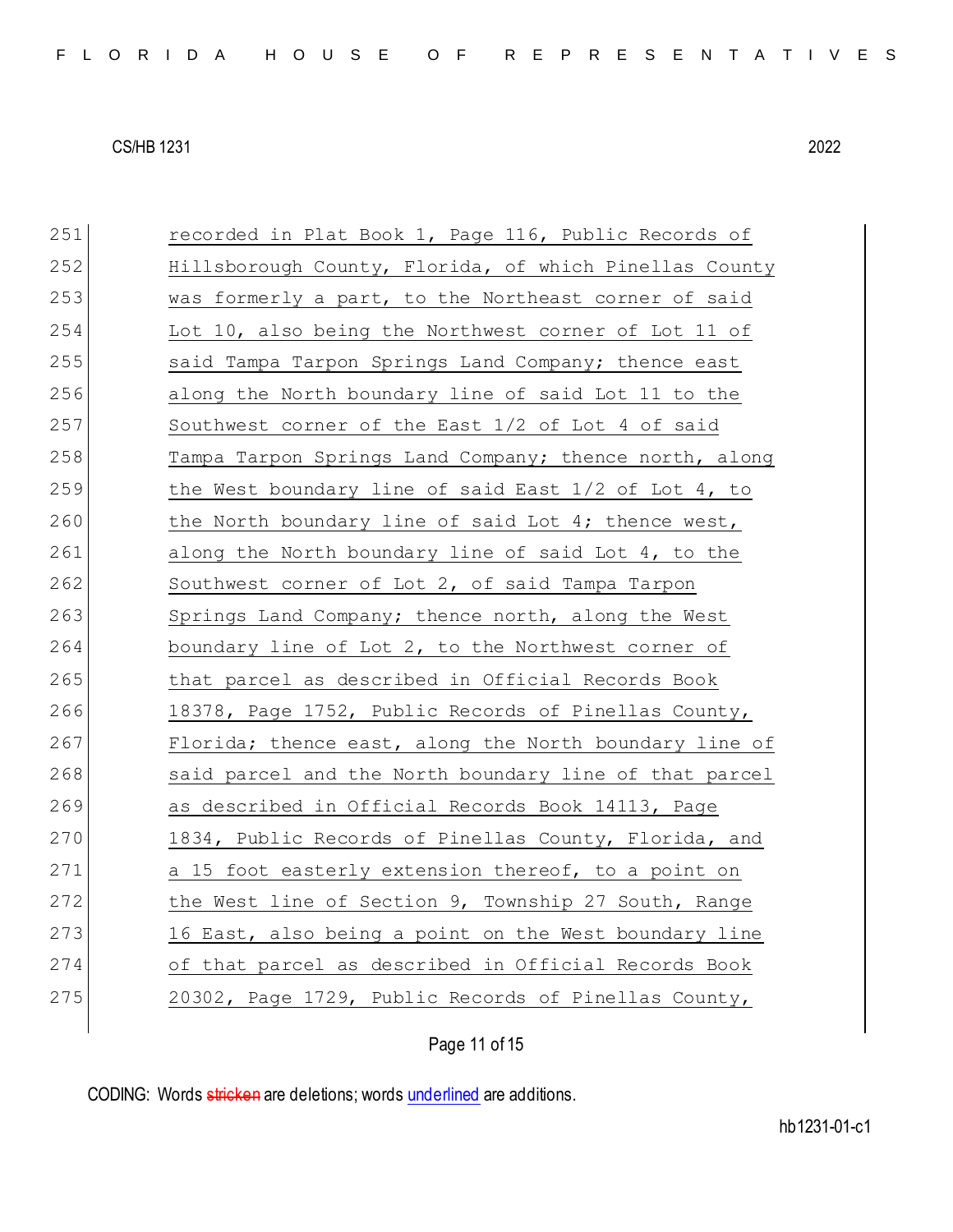| 251 | recorded in Plat Book 1, Page 116, Public Records of   |
|-----|--------------------------------------------------------|
| 252 | Hillsborough County, Florida, of which Pinellas County |
| 253 | was formerly a part, to the Northeast corner of said   |
| 254 | Lot 10, also being the Northwest corner of Lot 11 of   |
| 255 | said Tampa Tarpon Springs Land Company; thence east    |
| 256 | along the North boundary line of said Lot 11 to the    |
| 257 | Southwest corner of the East 1/2 of Lot 4 of said      |
| 258 | Tampa Tarpon Springs Land Company; thence north, along |
| 259 | the West boundary line of said East 1/2 of Lot 4, to   |
| 260 | the North boundary line of said Lot 4; thence west,    |
| 261 | along the North boundary line of said Lot 4, to the    |
| 262 | Southwest corner of Lot 2, of said Tampa Tarpon        |
| 263 | Springs Land Company; thence north, along the West     |
| 264 | boundary line of Lot 2, to the Northwest corner of     |
| 265 | that parcel as described in Official Records Book      |
| 266 | 18378, Page 1752, Public Records of Pinellas County,   |
| 267 | Florida; thence east, along the North boundary line of |
| 268 | said parcel and the North boundary line of that parcel |
| 269 | as described in Official Records Book 14113, Page      |
| 270 | 1834, Public Records of Pinellas County, Florida, and  |
| 271 | a 15 foot easterly extension thereof, to a point on    |
| 272 | the West line of Section 9, Township 27 South, Range   |
| 273 | 16 East, also being a point on the West boundary line  |
| 274 | of that parcel as described in Official Records Book   |
| 275 | 20302, Page 1729, Public Records of Pinellas County,   |
|     |                                                        |

Page 11 of 15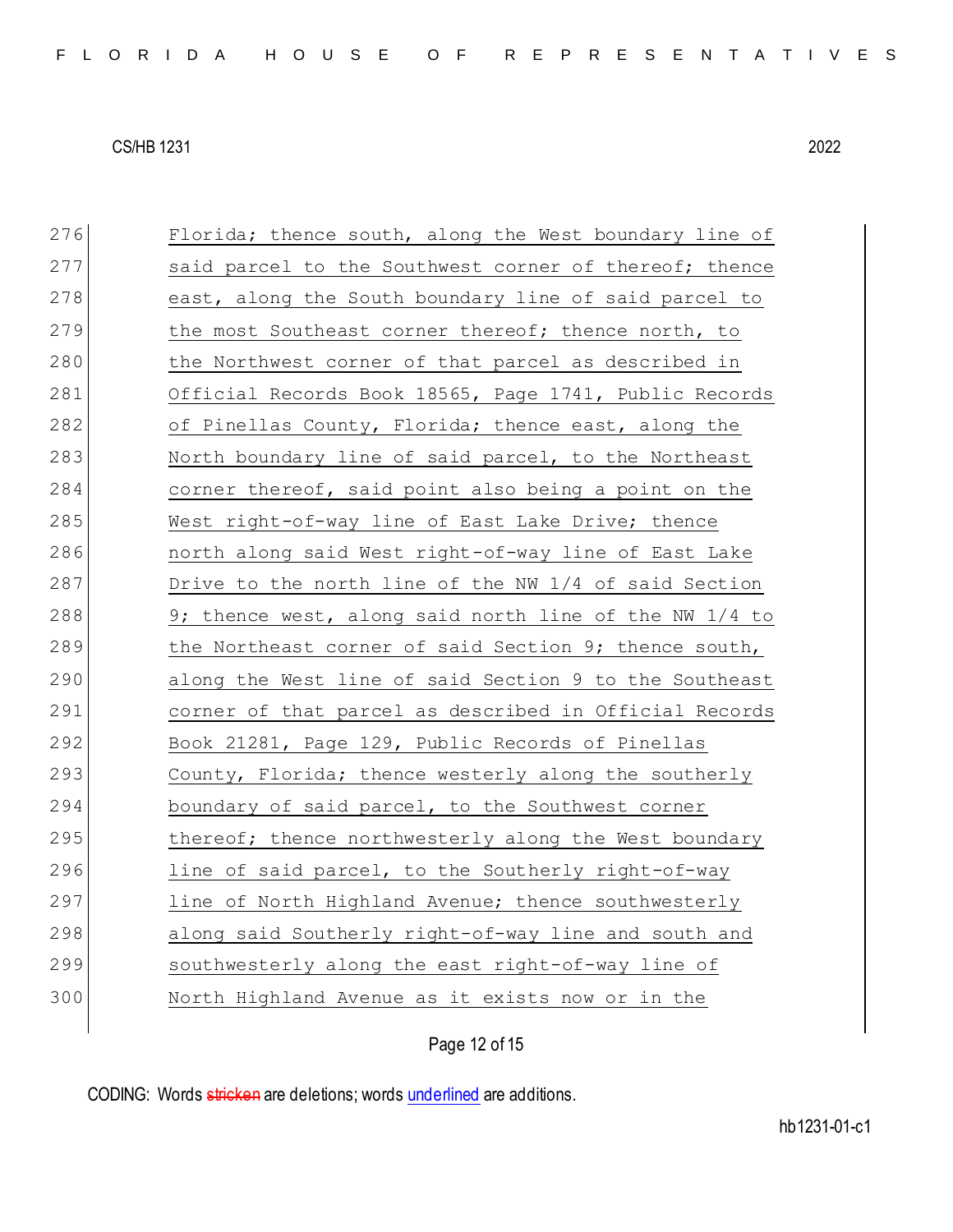| 276 | Florida; thence south, along the West boundary line of |
|-----|--------------------------------------------------------|
| 277 | said parcel to the Southwest corner of thereof; thence |
| 278 | east, along the South boundary line of said parcel to  |
| 279 | the most Southeast corner thereof; thence north, to    |
| 280 | the Northwest corner of that parcel as described in    |
| 281 | Official Records Book 18565, Page 1741, Public Records |
| 282 | of Pinellas County, Florida; thence east, along the    |
| 283 | North boundary line of said parcel, to the Northeast   |
| 284 | corner thereof, said point also being a point on the   |
| 285 | West right-of-way line of East Lake Drive; thence      |
| 286 | north along said West right-of-way line of East Lake   |
| 287 | Drive to the north line of the NW 1/4 of said Section  |
| 288 | 9; thence west, along said north line of the NW 1/4 to |
| 289 | the Northeast corner of said Section 9; thence south,  |
|     |                                                        |
| 290 | along the West line of said Section 9 to the Southeast |
| 291 | corner of that parcel as described in Official Records |
| 292 | Book 21281, Page 129, Public Records of Pinellas       |
| 293 | County, Florida; thence westerly along the southerly   |
| 294 | boundary of said parcel, to the Southwest corner       |
| 295 | thereof; thence northwesterly along the West boundary  |
| 296 | line of said parcel, to the Southerly right-of-way     |
| 297 | line of North Highland Avenue; thence southwesterly    |
| 298 | along said Southerly right-of-way line and south and   |
| 299 | southwesterly along the east right-of-way line of      |
| 300 | North Highland Avenue as it exists now or in the       |

Page 12 of 15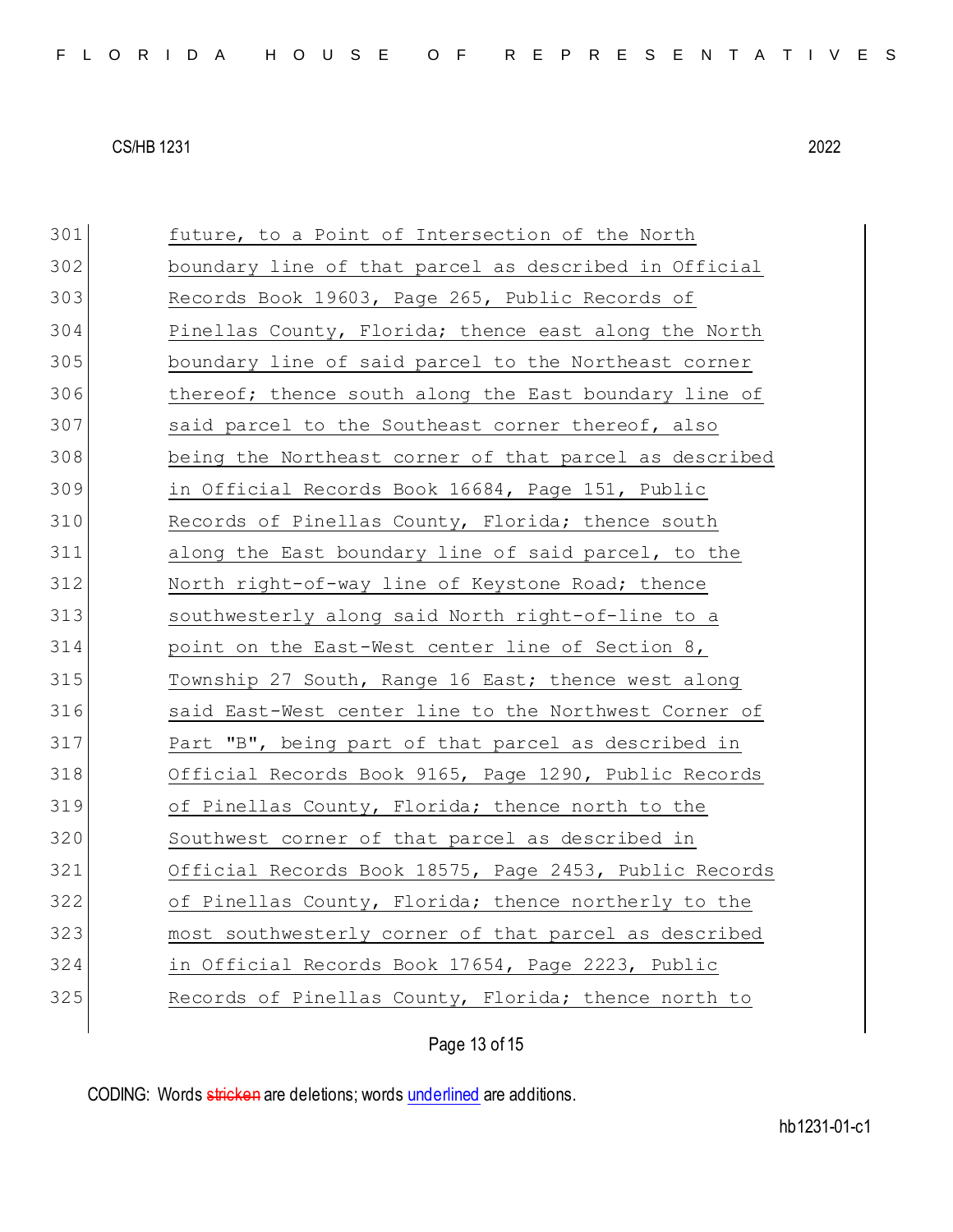future, to a Point of Intersection of the North boundary line of that parcel as described in Official Records Book 19603, Page 265, Public Records of 304 Pinellas County, Florida; thence east along the North boundary line of said parcel to the Northeast corner 306 thereof; thence south along the East boundary line of said parcel to the Southeast corner thereof, also being the Northeast corner of that parcel as described in Official Records Book 16684, Page 151, Public Records of Pinellas County, Florida; thence south along the East boundary line of said parcel, to the North right-of-way line of Keystone Road; thence southwesterly along said North right-of-line to a point on the East-West center line of Section 8, Township 27 South, Range 16 East; thence west along said East-West center line to the Northwest Corner of 317 Part "B", being part of that parcel as described in Official Records Book 9165, Page 1290, Public Records 319 of Pinellas County, Florida; thence north to the Southwest corner of that parcel as described in Official Records Book 18575, Page 2453, Public Records of Pinellas County, Florida; thence northerly to the most southwesterly corner of that parcel as described in Official Records Book 17654, Page 2223, Public

325 Records of Pinellas County, Florida; thence north to

Page 13 of 15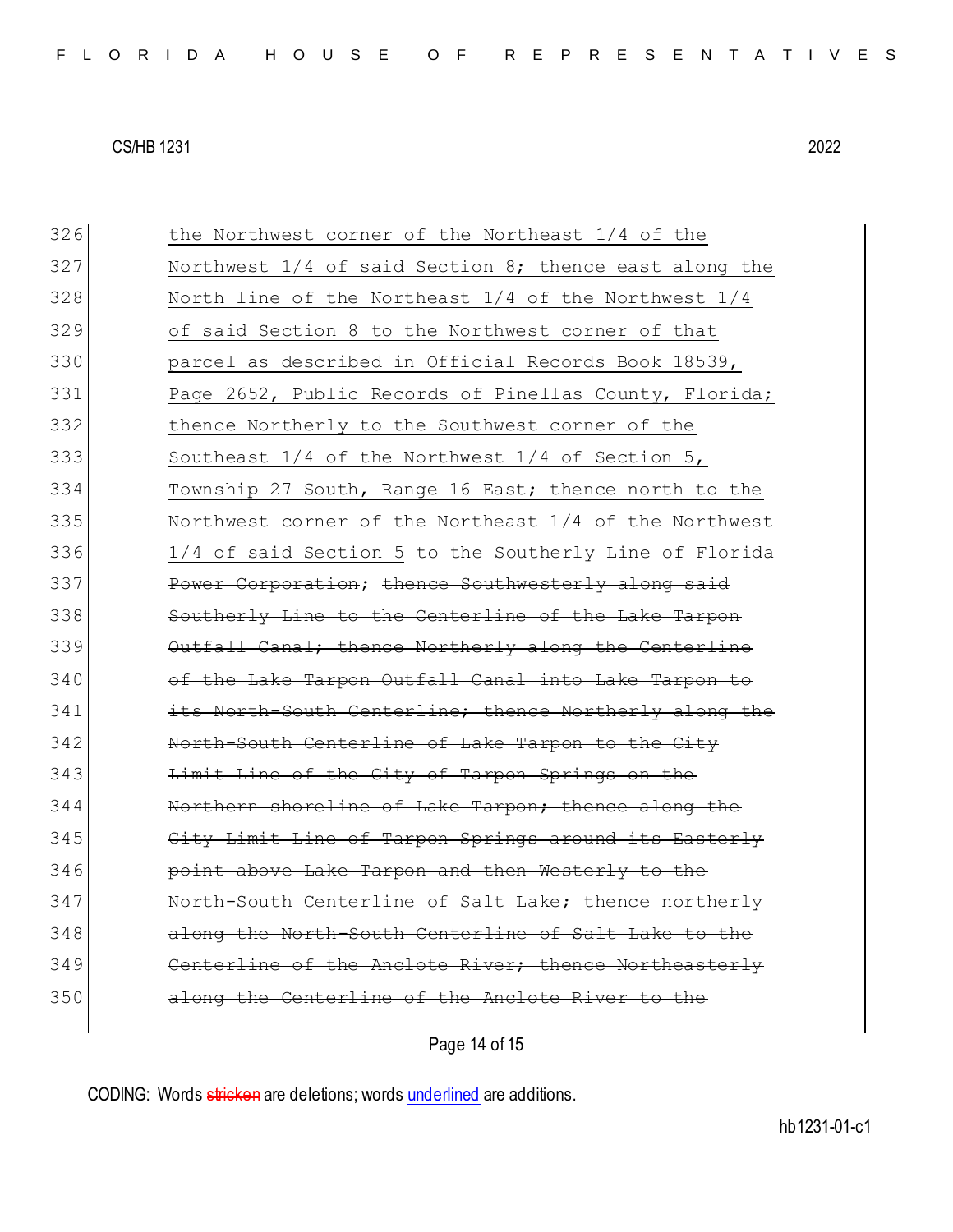| 326 | the Northwest corner of the Northeast 1/4 of the         |
|-----|----------------------------------------------------------|
| 327 | Northwest $1/4$ of said Section 8; thence east along the |
| 328 | North line of the Northeast 1/4 of the Northwest 1/4     |
| 329 | of said Section 8 to the Northwest corner of that        |
| 330 | parcel as described in Official Records Book 18539,      |
| 331 | Page 2652, Public Records of Pinellas County, Florida;   |
| 332 | thence Northerly to the Southwest corner of the          |
| 333 | Southeast 1/4 of the Northwest 1/4 of Section 5,         |
| 334 | Township 27 South, Range 16 East; thence north to the    |
| 335 | Northwest corner of the Northeast 1/4 of the Northwest   |
| 336 | 1/4 of said Section 5 to the Southerly Line of Florida   |
| 337 | Power Corporation; thence Southwesterly along said       |
| 338 | Southerly Line to the Centerline of the Lake Tarpon      |
| 339 | Outfall Canal; thence Northerly along the Centerline     |
| 340 | of the Lake Tarpon Outfall Canal into Lake Tarpon to     |
| 341 | its North-South Centerline; thence Northerly along the   |
| 342 | North-South Centerline of Lake Tarpon to the City        |
| 343 | Limit Line of the City of Tarpon Springs on the          |
| 344 | Northern shoreline of Lake Tarpon; thence along the      |
| 345 | City Limit Line of Tarpon Springs around its Easterly    |
| 346 | point above Lake Tarpon and then Westerly to the         |
| 347 | North-South Centerline of Salt Lake; thence northerly    |
| 348 | along the North-South Centerline of Salt Lake to the     |
| 349 | Centerline of the Anclote River; thence Northeasterly    |
| 350 | along the Centerline of the Anclote River to the         |
|     |                                                          |

Page 14 of 15